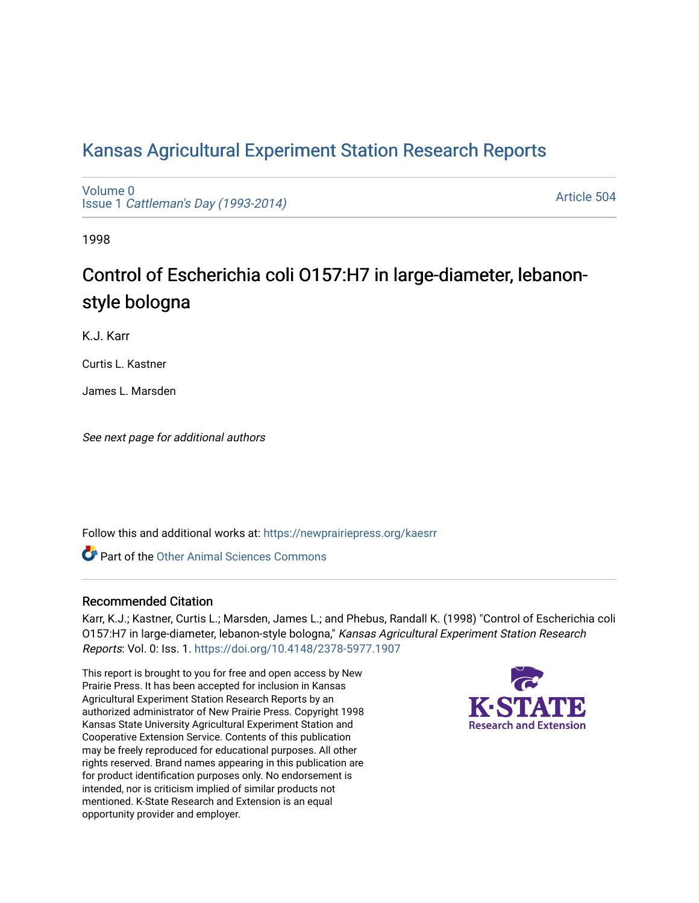# [Kansas Agricultural Experiment Station Research Reports](https://newprairiepress.org/kaesrr)

[Volume 0](https://newprairiepress.org/kaesrr/vol0) Issue 1 [Cattleman's Day \(1993-2014\)](https://newprairiepress.org/kaesrr/vol0/iss1) 

[Article 504](https://newprairiepress.org/kaesrr/vol0/iss1/504) 

1998

# Control of Escherichia coli O157:H7 in large-diameter, lebanonstyle bologna

K.J. Karr

Curtis L. Kastner

James L. Marsden

See next page for additional authors

Follow this and additional works at: [https://newprairiepress.org/kaesrr](https://newprairiepress.org/kaesrr?utm_source=newprairiepress.org%2Fkaesrr%2Fvol0%2Fiss1%2F504&utm_medium=PDF&utm_campaign=PDFCoverPages) 

**C** Part of the [Other Animal Sciences Commons](http://network.bepress.com/hgg/discipline/82?utm_source=newprairiepress.org%2Fkaesrr%2Fvol0%2Fiss1%2F504&utm_medium=PDF&utm_campaign=PDFCoverPages)

#### Recommended Citation

Karr, K.J.; Kastner, Curtis L.; Marsden, James L.; and Phebus, Randall K. (1998) "Control of Escherichia coli O157:H7 in large-diameter, lebanon-style bologna," Kansas Agricultural Experiment Station Research Reports: Vol. 0: Iss. 1.<https://doi.org/10.4148/2378-5977.1907>

This report is brought to you for free and open access by New Prairie Press. It has been accepted for inclusion in Kansas Agricultural Experiment Station Research Reports by an authorized administrator of New Prairie Press. Copyright 1998 Kansas State University Agricultural Experiment Station and Cooperative Extension Service. Contents of this publication may be freely reproduced for educational purposes. All other rights reserved. Brand names appearing in this publication are for product identification purposes only. No endorsement is intended, nor is criticism implied of similar products not mentioned. K-State Research and Extension is an equal opportunity provider and employer.

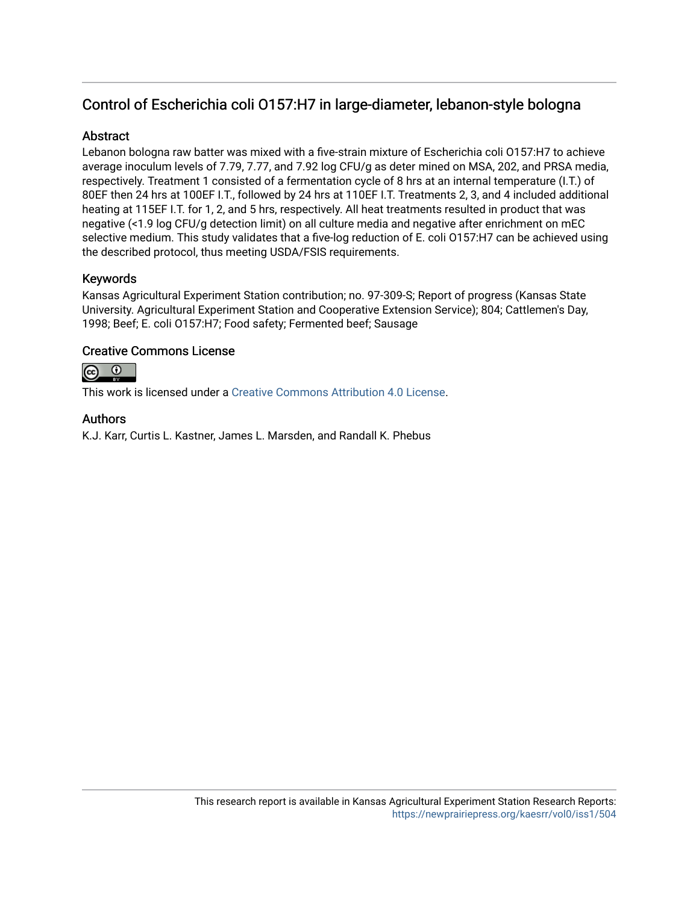# Control of Escherichia coli O157:H7 in large-diameter, lebanon-style bologna

## **Abstract**

Lebanon bologna raw batter was mixed with a five-strain mixture of Escherichia coli O157:H7 to achieve average inoculum levels of 7.79, 7.77, and 7.92 log CFU/g as deter mined on MSA, 202, and PRSA media, respectively. Treatment 1 consisted of a fermentation cycle of 8 hrs at an internal temperature (I.T.) of 80EF then 24 hrs at 100EF I.T., followed by 24 hrs at 110EF I.T. Treatments 2, 3, and 4 included additional heating at 115EF I.T. for 1, 2, and 5 hrs, respectively. All heat treatments resulted in product that was negative (<1.9 log CFU/g detection limit) on all culture media and negative after enrichment on mEC selective medium. This study validates that a five-log reduction of E. coli O157:H7 can be achieved using the described protocol, thus meeting USDA/FSIS requirements.

## Keywords

Kansas Agricultural Experiment Station contribution; no. 97-309-S; Report of progress (Kansas State University. Agricultural Experiment Station and Cooperative Extension Service); 804; Cattlemen's Day, 1998; Beef; E. coli O157:H7; Food safety; Fermented beef; Sausage

#### Creative Commons License



This work is licensed under a [Creative Commons Attribution 4.0 License](https://creativecommons.org/licenses/by/4.0/).

#### Authors

K.J. Karr, Curtis L. Kastner, James L. Marsden, and Randall K. Phebus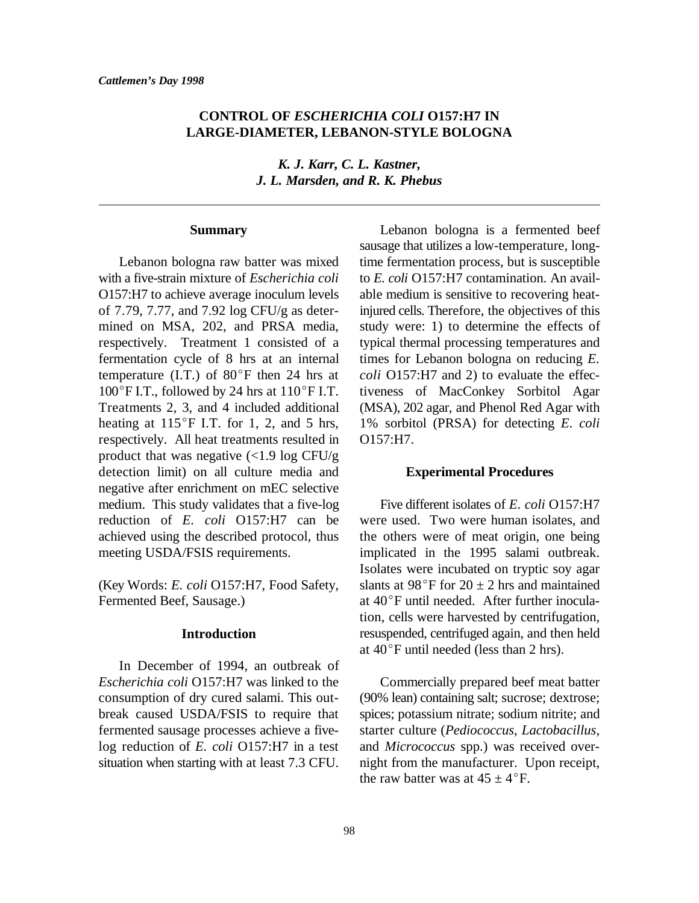## **CONTROL OF** *ESCHERICHIA COLI* **O157:H7 IN LARGE-DIAMETER, LEBANON-STYLE BOLOGNA**

*K. J. Karr, C. L. Kastner, J. L. Marsden, and R. K. Phebus*

#### **Summary**

with a five-strain mixture of *Escherichia coli* to *E. coli* O157:H7 contamination. An avail-O157:H7 to achieve average inoculum levels able medium is sensitive to recovering heatof 7.79, 7.77, and 7.92 log CFU/g as deter- injured cells. Therefore, the objectives of this mined on MSA, 202, and PRSA media, study were: 1) to determine the effects of respectively. Treatment 1 consisted of a typical thermal processing temperatures and fermentation cycle of 8 hrs at an internal times for Lebanon bologna on reducing *E.* temperature (I.T.) of  $80^{\circ}$ F then 24 hrs at *coli* O157:H7 and 2) to evaluate the effec- $100^{\circ}$ F I.T., followed by 24 hrs at  $110^{\circ}$ F I.T. tiveness of MacConkey Sorbitol Agar Treatments 2, 3, and 4 included additional (MSA), 202 agar, and Phenol Red Agar with heating at 115°F I.T. for 1, 2, and 5 hrs, 1% sorbitol (PRSA) for detecting *E. coli* respectively. All heat treatments resulted in O157:H7. product that was negative  $\langle$  <1.9 log CFU/g detection limit) on all culture media and negative after enrichment on mEC selective medium. This study validates that a five-log Five different isolates of *E. coli* O157:H7 reduction of *E. coli* O157:H7 can be were used. Two were human isolates, and achieved using the described protocol, thus the others were of meat origin, one being meeting USDA/FSIS requirements. implicated in the 1995 salami outbreak.

Fermented Beef, Sausage.) at 40°F until needed. After further inocula-

#### **Introduction**

In December of 1994, an outbreak of *Escherichia coli* O157:H7 was linked to the Commercially prepared beef meat batter

Lebanon bologna raw batter was mixed time fermentation process, but is susceptible Lebanon bologna is a fermented beef sausage that utilizes a low-temperature, long-

#### **Experimental Procedures**

(Key Words: *E. coli* O157:H7, Food Safety, slants at 98°F for  $20 \pm 2$  hrs and maintained Isolates were incubated on tryptic soy agar tion, cells were harvested by centrifugation, resuspended, centrifuged again, and then held at  $40^{\circ}$ F until needed (less than 2 hrs).

consumption of dry cured salami. This out- (90% lean) containing salt; sucrose; dextrose; break caused USDA/FSIS to require that spices; potassium nitrate; sodium nitrite; and fermented sausage processes achieve a five- starter culture (*Pediococcus*, *Lactobacillus*, log reduction of *E. coli* O157:H7 in a test and *Micrococcus* spp.) was received oversituation when starting with at least 7.3 CFU. night from the manufacturer. Upon receipt, the raw batter was at  $45 \pm 4^{\circ}$ F.